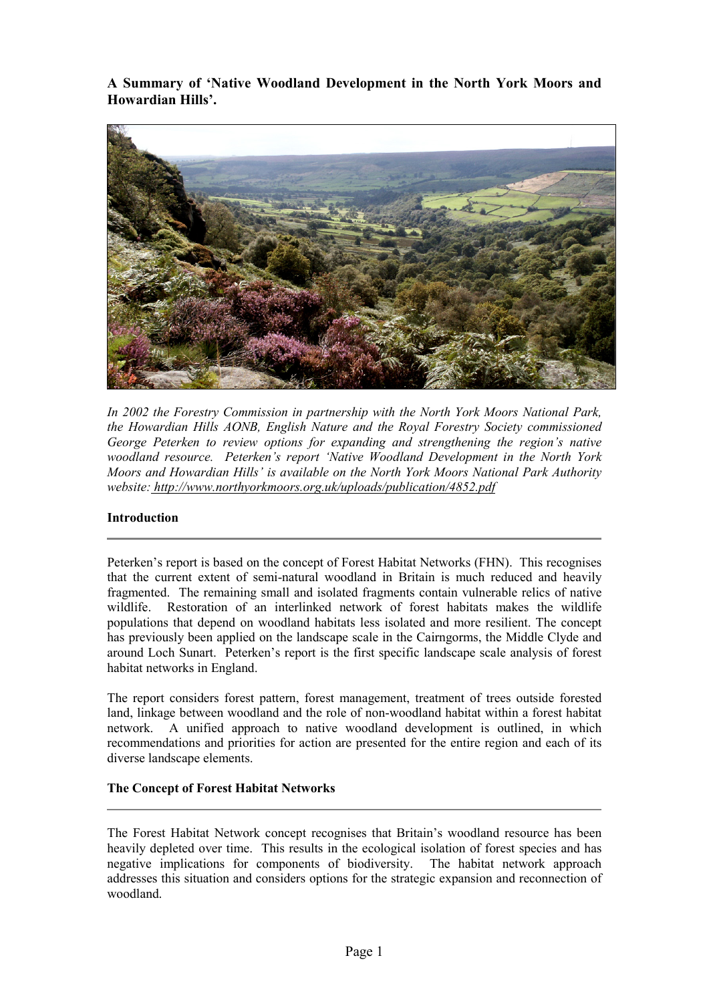**A Summary of 'Native Woodland Development in the North York Moors and Howardian Hills'.**



*In 2002 the Forestry Commission in partnership with the North York Moors National Park, the Howardian Hills AONB, English Nature and the Royal Forestry Society commissioned George Peterken to review options for expanding and strengthening the region's native woodland resource. Peterken's report 'Native Woodland Development in the North York Moors and Howardian Hills' is available on the North York Moors National Park Authority website: http://www.northyorkmoors.org.uk/uploads/publication/4852.pdf* 

# **Introduction**

Peterken's report is based on the concept of Forest Habitat Networks (FHN). This recognises that the current extent of semi-natural woodland in Britain is much reduced and heavily fragmented. The remaining small and isolated fragments contain vulnerable relics of native wildlife. Restoration of an interlinked network of forest habitats makes the wildlife populations that depend on woodland habitats less isolated and more resilient. The concept has previously been applied on the landscape scale in the Cairngorms, the Middle Clyde and around Loch Sunart. Peterken's report is the first specific landscape scale analysis of forest habitat networks in England.

The report considers forest pattern, forest management, treatment of trees outside forested land, linkage between woodland and the role of non-woodland habitat within a forest habitat network. A unified approach to native woodland development is outlined, in which recommendations and priorities for action are presented for the entire region and each of its diverse landscape elements.

# **The Concept of Forest Habitat Networks**

The Forest Habitat Network concept recognises that Britain's woodland resource has been heavily depleted over time. This results in the ecological isolation of forest species and has negative implications for components of biodiversity. The habitat network approach addresses this situation and considers options for the strategic expansion and reconnection of woodland.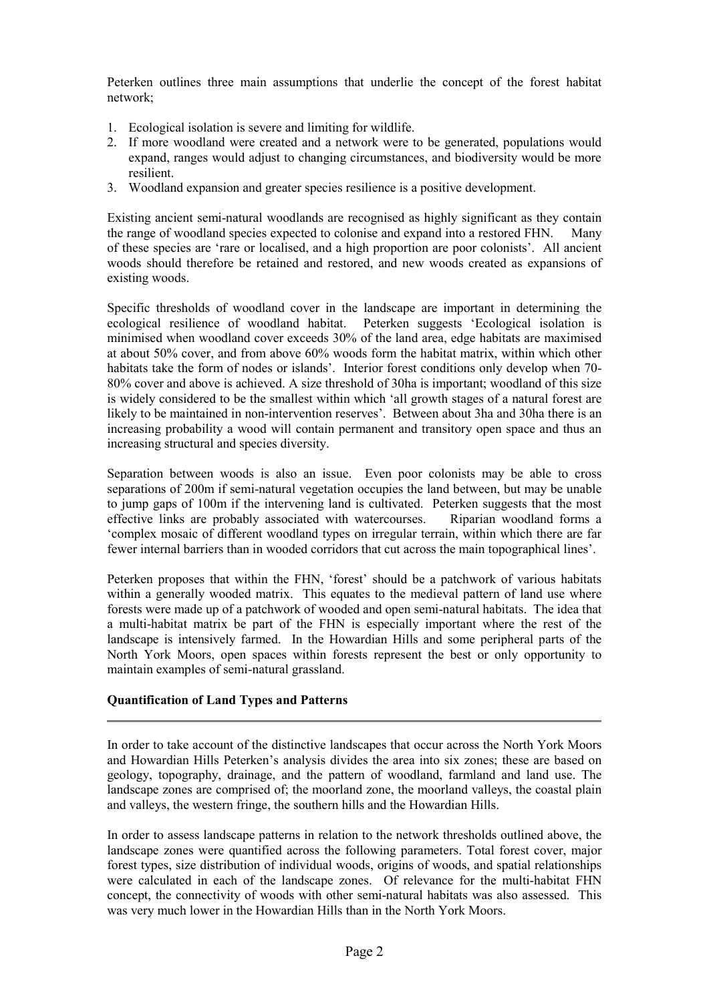Peterken outlines three main assumptions that underlie the concept of the forest habitat network;

- 1. Ecological isolation is severe and limiting for wildlife.
- 2. If more woodland were created and a network were to be generated, populations would expand, ranges would adjust to changing circumstances, and biodiversity would be more resilient.
- 3. Woodland expansion and greater species resilience is a positive development.

Existing ancient semi-natural woodlands are recognised as highly significant as they contain the range of woodland species expected to colonise and expand into a restored FHN. Many of these species are 'rare or localised, and a high proportion are poor colonists'. All ancient woods should therefore be retained and restored, and new woods created as expansions of existing woods.

Specific thresholds of woodland cover in the landscape are important in determining the ecological resilience of woodland habitat. Peterken suggests 'Ecological isolation is minimised when woodland cover exceeds 30% of the land area, edge habitats are maximised at about 50% cover, and from above 60% woods form the habitat matrix, within which other habitats take the form of nodes or islands'. Interior forest conditions only develop when 70- 80% cover and above is achieved. A size threshold of 30ha is important; woodland of this size is widely considered to be the smallest within which 'all growth stages of a natural forest are likely to be maintained in non-intervention reserves'. Between about 3ha and 30ha there is an increasing probability a wood will contain permanent and transitory open space and thus an increasing structural and species diversity.

Separation between woods is also an issue. Even poor colonists may be able to cross separations of 200m if semi-natural vegetation occupies the land between, but may be unable to jump gaps of 100m if the intervening land is cultivated. Peterken suggests that the most effective links are probably associated with watercourses. Riparian woodland forms a 'complex mosaic of different woodland types on irregular terrain, within which there are far fewer internal barriers than in wooded corridors that cut across the main topographical lines'.

Peterken proposes that within the FHN, 'forest' should be a patchwork of various habitats within a generally wooded matrix. This equates to the medieval pattern of land use where forests were made up of a patchwork of wooded and open semi-natural habitats. The idea that a multi-habitat matrix be part of the FHN is especially important where the rest of the landscape is intensively farmed. In the Howardian Hills and some peripheral parts of the North York Moors, open spaces within forests represent the best or only opportunity to maintain examples of semi-natural grassland.

# **Quantification of Land Types and Patterns**

In order to take account of the distinctive landscapes that occur across the North York Moors and Howardian Hills Peterken's analysis divides the area into six zones; these are based on geology, topography, drainage, and the pattern of woodland, farmland and land use. The landscape zones are comprised of; the moorland zone, the moorland valleys, the coastal plain and valleys, the western fringe, the southern hills and the Howardian Hills.

In order to assess landscape patterns in relation to the network thresholds outlined above, the landscape zones were quantified across the following parameters. Total forest cover, major forest types, size distribution of individual woods, origins of woods, and spatial relationships were calculated in each of the landscape zones. Of relevance for the multi-habitat FHN concept, the connectivity of woods with other semi-natural habitats was also assessed. This was very much lower in the Howardian Hills than in the North York Moors.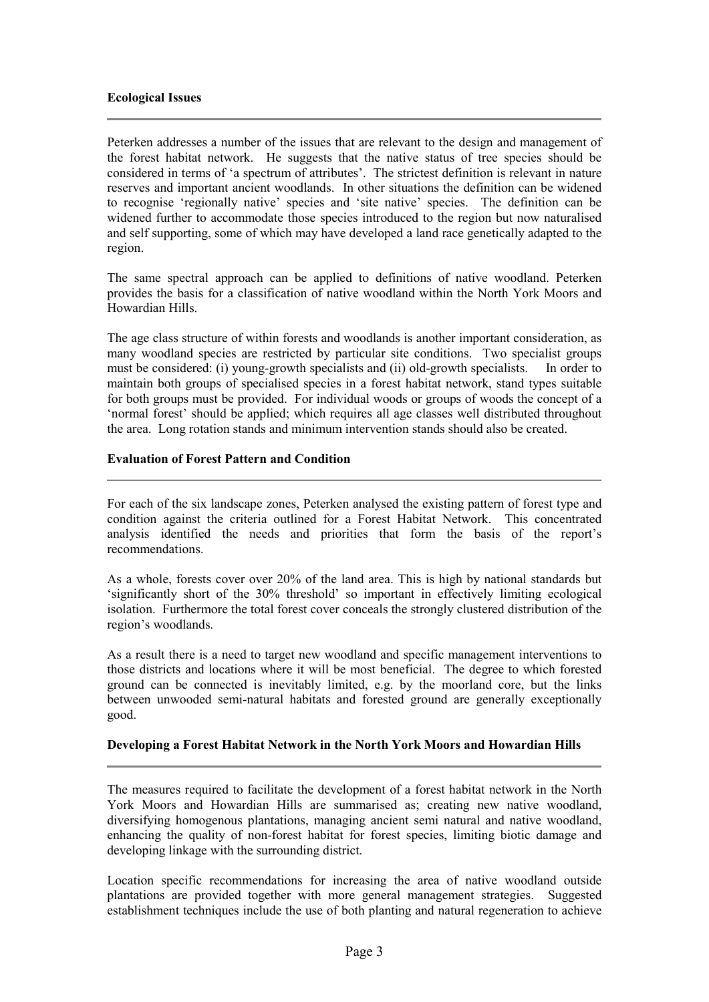### **Ecological Issues**

Peterken addresses a number of the issues that are relevant to the design and management of the forest habitat network. He suggests that the native status of tree species should be considered in terms of 'a spectrum of attributes'. The strictest definition is relevant in nature reserves and important ancient woodlands. In other situations the definition can be widened to recognise 'regionally native' species and 'site native' species. The definition can be widened further to accommodate those species introduced to the region but now naturalised and self supporting, some of which may have developed a land race genetically adapted to the region.

The same spectral approach can be applied to definitions of native woodland. Peterken provides the basis for a classification of native woodland within the North York Moors and Howardian Hills.

The age class structure of within forests and woodlands is another important consideration, as many woodland species are restricted by particular site conditions. Two specialist groups must be considered: (i) young-growth specialists and (ii) old-growth specialists. In order to maintain both groups of specialised species in a forest habitat network, stand types suitable for both groups must be provided. For individual woods or groups of woods the concept of a 'normal forest' should be applied; which requires all age classes well distributed throughout the area. Long rotation stands and minimum intervention stands should also be created.

## **Evaluation of Forest Pattern and Condition**

For each of the six landscape zones, Peterken analysed the existing pattern of forest type and condition against the criteria outlined for a Forest Habitat Network. This concentrated analysis identified the needs and priorities that form the basis of the report's recommendations.

As a whole, forests cover over 20% of the land area. This is high by national standards but 'significantly short of the 30% threshold' so important in effectively limiting ecological isolation. Furthermore the total forest cover conceals the strongly clustered distribution of the region's woodlands.

As a result there is a need to target new woodland and specific management interventions to those districts and locations where it will be most beneficial. The degree to which forested ground can be connected is inevitably limited, e.g. by the moorland core, but the links between unwooded semi-natural habitats and forested ground are generally exceptionally good.

### **Developing a Forest Habitat Network in the North York Moors and Howardian Hills**

The measures required to facilitate the development of a forest habitat network in the North York Moors and Howardian Hills are summarised as; creating new native woodland, diversifying homogenous plantations, managing ancient semi natural and native woodland, enhancing the quality of non-forest habitat for forest species, limiting biotic damage and developing linkage with the surrounding district.

Location specific recommendations for increasing the area of native woodland outside plantations are provided together with more general management strategies. Suggested establishment techniques include the use of both planting and natural regeneration to achieve